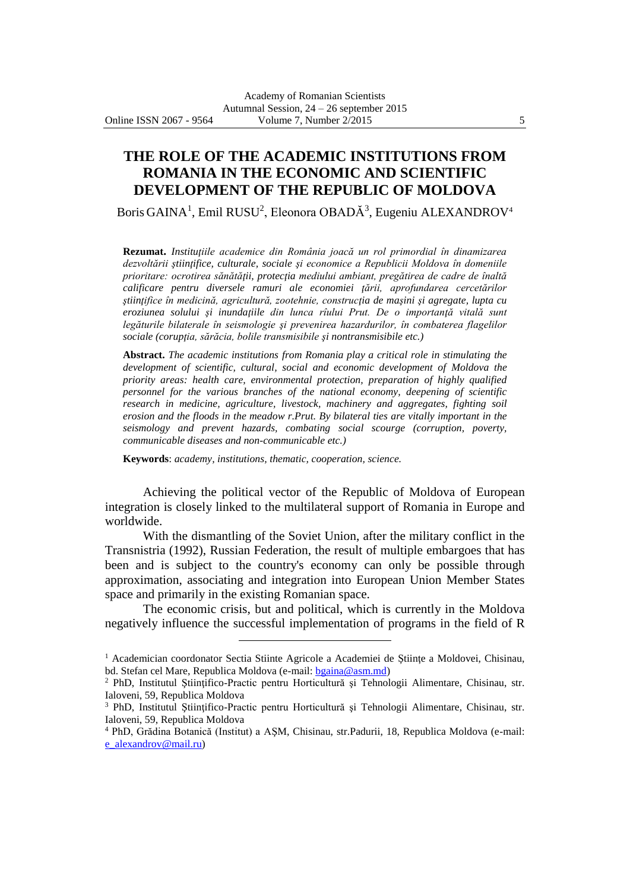**THE ROLE OF THE ACADEMIC INSTITUTIONS FROM ROMANIA IN THE ECONOMIC AND SCIENTIFIC DEVELOPMENT OF THE REPUBLIC OF MOLDOVA**

Boris GAINA<sup>1</sup>, Emil RUSU<sup>2</sup>, Eleonora OBADĂ<sup>3</sup>, Eugeniu ALEXANDROV<sup>4</sup>

**Rezumat.** *Instituţiile academice din România joacă un rol primordial în dinamizarea dezvoltării ştiinţifice, culturale, sociale şi economice a Republicii Moldova în domeniile prioritare: ocrotirea sănătăţii, protecţia mediului ambiant, pregătirea de cadre de înaltă calificare pentru diversele ramuri ale economiei ţării, aprofundarea cercetărilor ştiinţifice în medicină, agricultură, zootehnie, construcţia de maşini şi agregate, lupta cu eroziunea solului şi inundaţiile din lunca rîului Prut. De o importanţă vitală sunt legăturile bilaterale în seismologie şi prevenirea hazardurilor, în combaterea flagelilor sociale (corupţia, sărăcia, bolile transmisibile şi nontransmisibile etc.)*

**Abstract.** *The academic institutions from Romania play a critical role in stimulating the development of scientific, cultural, social and economic development of Moldova the priority areas: health care, environmental protection, preparation of highly qualified personnel for the various branches of the national economy, deepening of scientific research in medicine, agriculture, livestock, machinery and aggregates, fighting soil erosion and the floods in the meadow r.Prut. By bilateral ties are vitally important in the seismology and prevent hazards, combating social scourge (corruption, poverty, communicable diseases and non-communicable etc.)*

**Keywords**: *academy, institutions, thematic, cooperation, science.*

 $\overline{a}$ 

Achieving the political vector of the Republic of Moldova of European integration is closely linked to the multilateral support of Romania in Europe and worldwide.

With the dismantling of the Soviet Union, after the military conflict in the Transnistria (1992), Russian Federation, the result of multiple embargoes that has been and is subject to the country's economy can only be possible through approximation, associating and integration into European Union Member States space and primarily in the existing Romanian space.

The economic crisis, but and political, which is currently in the Moldova negatively influence the successful implementation of programs in the field of R

<sup>&</sup>lt;sup>1</sup> Academician coordonator Sectia Stiinte Agricole a Academiei de Științe a Moldovei, Chisinau, bd. Stefan cel Mare, Republica Moldova (e-mail: [bgaina@asm.md\)](mailto:bgaina@asm.md)

 $2$  PhD, Institutul Stiintifico-Practic pentru Horticultură și Tehnologii Alimentare, Chisinau, str. Ialoveni, 59, Republica Moldova

<sup>&</sup>lt;sup>3</sup> PhD, Institutul Științifico-Practic pentru Horticultură și Tehnologii Alimentare, Chisinau, str. Ialoveni, 59, Republica Moldova

<sup>4</sup> PhD, Grădina Botanică (Institut) a AŞM, Chisinau, str.Padurii, 18, Republica Moldova (e-mail: [e\\_alexandrov@mail.ru\)](mailto:e_alexandrov@mail.ru)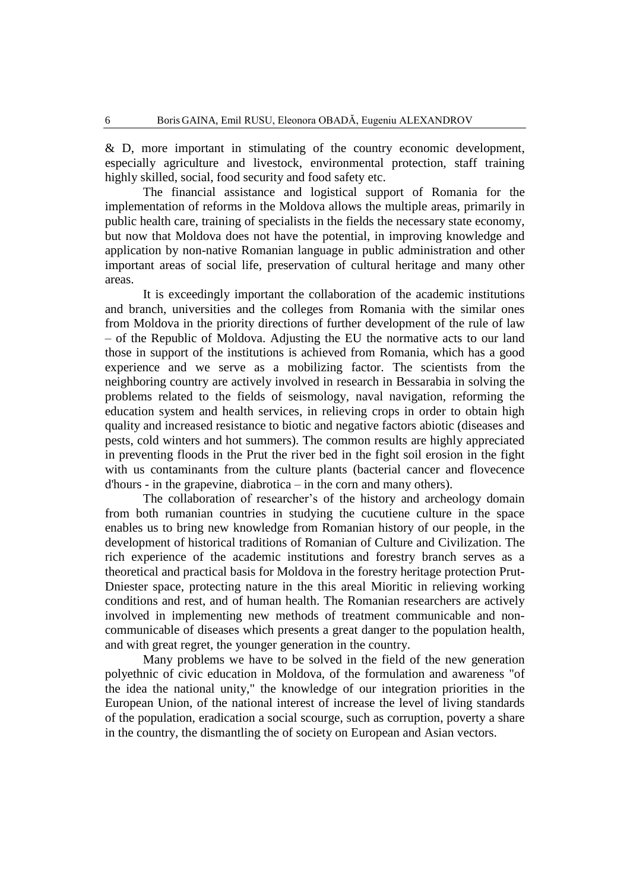& D, more important in stimulating of the country economic development, especially agriculture and livestock, environmental protection, staff training highly skilled, social, food security and food safety etc.

The financial assistance and logistical support of Romania for the implementation of reforms in the Moldova allows the multiple areas, primarily in public health care, training of specialists in the fields the necessary state economy, but now that Moldova does not have the potential, in improving knowledge and application by non-native Romanian language in public administration and other important areas of social life, preservation of cultural heritage and many other areas.

It is exceedingly important the collaboration of the academic institutions and branch, universities and the colleges from Romania with the similar ones from Moldova in the priority directions of further development of the rule of law – of the Republic of Moldova. Adjusting the EU the normative acts to our land those in support of the institutions is achieved from Romania, which has a good experience and we serve as a mobilizing factor. The scientists from the neighboring country are actively involved in research in Bessarabia in solving the problems related to the fields of seismology, naval navigation, reforming the education system and health services, in relieving crops in order to obtain high quality and increased resistance to biotic and negative factors abiotic (diseases and pests, cold winters and hot summers). The common results are highly appreciated in preventing floods in the Prut the river bed in the fight soil erosion in the fight with us contaminants from the culture plants (bacterial cancer and flovecence d'hours - in the grapevine, diabrotica – in the corn and many others).

The collaboration of researcher's of the history and archeology domain from both rumanian countries in studying the cucutiene culture in the space enables us to bring new knowledge from Romanian history of our people, in the development of historical traditions of Romanian of Culture and Civilization. The rich experience of the academic institutions and forestry branch serves as a theoretical and practical basis for Moldova in the forestry heritage protection Prut-Dniester space, protecting nature in the this areal Mioritic in relieving working conditions and rest, and of human health. The Romanian researchers are actively involved in implementing new methods of treatment communicable and noncommunicable of diseases which presents a great danger to the population health, and with great regret, the younger generation in the country.

Many problems we have to be solved in the field of the new generation polyethnic of civic education in Moldova, of the formulation and awareness "of the idea the national unity," the knowledge of our integration priorities in the European Union, of the national interest of increase the level of living standards of the population, eradication a social scourge, such as corruption, poverty a share in the country, the dismantling the of society on European and Asian vectors.